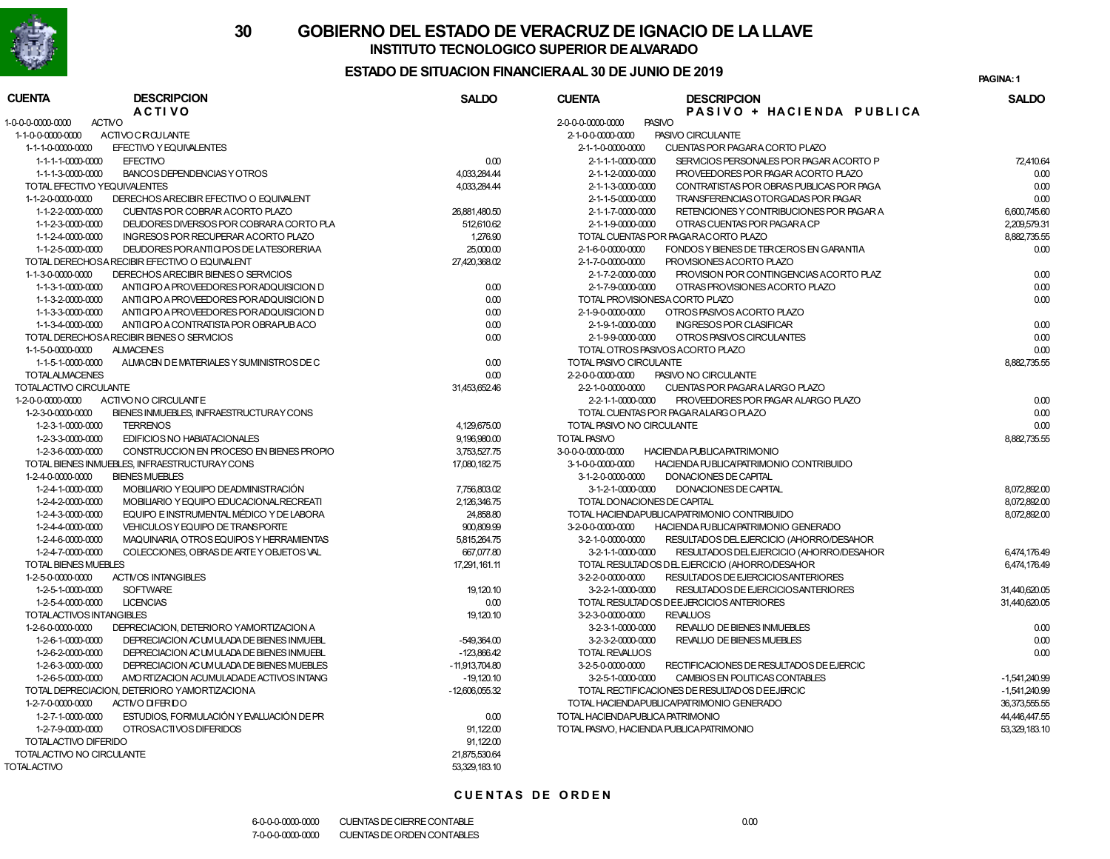

# **30 GOBIERNO DEL ESTADO DE VERACRUZ DE IGNACIO DE LA LLAVEINSTITUTO TECNOLOGICO SUPERIOR DE ALVARADO**

### **ESTADO DE SITUACION FINANCIERA AL 30 DE JUNIO DE 2019**

**1PAGINA:**

| <b>CUENTA</b>                      | <b>DESCRIPCION</b><br><b>ACTIVO</b>           | <b>SALDO</b>     | <b>CUENTA</b>              | <b>DESCRIPCION</b><br>PASIVO + HACIENDA PUBLICA | <b>SALDO</b>    |
|------------------------------------|-----------------------------------------------|------------------|----------------------------|-------------------------------------------------|-----------------|
| <b>ACTIVO</b><br>1-0-0-0-0000-0000 |                                               |                  | 2-0-0-0-0000-0000          | <b>PASIVO</b>                                   |                 |
| 1-1-0-0-0000-0000                  | <b>ACTIVO CIRCULANTE</b>                      |                  | 2-1-0-0-0000-0000          | PASIVO CIRCULANTE                               |                 |
| 1-1-1-0-0000-0000                  | EFECTIVO Y EQUIVALENTES                       |                  | 2-1-1-0-0000-0000          | CUENTAS POR PAGARA CORTO PLAZO                  |                 |
| 1-1-1-1-0000-0000                  | <b>EFECTIVO</b>                               | 0.00             | 2-1-1-1-0000-0000          | SERVICIOS PERSONALES POR PAGAR ACORTO P         | 72,410.64       |
| 1-1-1-3-0000-0000                  | BANCOS DEPENDENCIAS Y OTROS                   | 4,033,284.44     | 2-1-1-2-0000-0000          | PROVEEDORES POR PAGAR ACORTO PLAZO              | 0.00            |
| TOTAL EFECTIVO YEQUIVALENTES       |                                               | 4,033,284.44     | 2-1-1-3-0000-0000          | CONTRATISTAS POR OBRAS PUBLICAS POR PAGA        | 0.00            |
| 1-1-2-0-0000-0000                  | DERECHOS ARECIBIR EFECTIVO O EQUIVALENT       |                  | 2-1-1-5-0000-0000          | TRANSFERENCIAS OTORGADAS POR PAGAR              | 0.00            |
| 1-1-2-2-0000-0000                  | CUENTAS POR COBRAR ACORTO PLAZO               | 26,881,480.50    | 2-1-1-7-0000-0000          | RETENCIONES Y CONTRIBUCIONES POR PAGAR A        | 6,600,745.60    |
| 1-1-2-3-0000-0000                  | DEUDORES DIVERSOS POR COBRARA CORTO PLA       | 512,610.62       | 2-1-1-9-0000-0000          | OTRAS CUENTAS POR PAGARA CP                     | 2,209,579.31    |
| 1-1-2-4-0000-0000                  | INGRESOS POR RECUPERAR ACORTO PLAZO           | 1,276.90         |                            | TOTAL CUENTAS POR PAGARACORTO PLAZO             | 8,882,735.55    |
| 1-1-2-5-0000-0000                  | DEUDORES POR ANTICIPOS DE LATESORERIAA        | 25,000.00        | 2-1-6-0-0000-0000          | FONDOS Y BIENES DE TERCEROS EN GARANTIA         | 0.00            |
|                                    | TOTAL DERECHOSA RECIBIR EFECTIVO O EQUIVALENT | 27,420,368.02    | 2-1-7-0-0000-0000          | PROVISIONES ACORTO PLAZO                        |                 |
| 1-1-3-0-0000-0000                  | DERECHOS ARECIBIR BIENES O SERVICIOS          |                  | 2-1-7-2-0000-0000          | PROVISION POR CONTINGENCIAS ACORTO PLAZ         | 0.00            |
| 1-1-3-1-0000-0000                  | ANTICIPO A PROVEEDORES POR ADQUISICION D      | 0.00             | 2-1-7-9-0000-0000          | OTRAS PROVISIONES ACORTO PLAZO                  | 0.00            |
| 1-1-3-2-0000-0000                  | ANTICIPO A PROVEEDORES POR ADQUISICION D      | 0.00             |                            | TOTAL PROVISIONES A CORTO PLAZO                 | 0.00            |
| 1-1-3-3-0000-0000                  | ANTICIPO A PROVEEDORES POR ADQUISICION D      | 0.00             | 2-1-9-0-0000-0000          | OTROS PASIVOS ACORTO PLAZO                      |                 |
| 1-1-3-4-0000-0000                  | ANTICIPO A CONTRATISTA POR OBRAPUBACO         | 0.00             | 2-1-9-1-0000-0000          | <b>INGRESOS POR CLASIFICAR</b>                  | 0.00            |
|                                    | TOTAL DERECHOSA RECIBIR BIENES O SERVICIOS    | 0.00             | 2-1-9-9-0000-0000          | OTROS PASIVOS CIRCULANTES                       | 0.00            |
| 1-1-5-0-0000-0000                  | <b>ALMACENES</b>                              |                  |                            | TOTAL OTROS PASIVOS ACORTO PLAZO                | 0.00            |
| 1-1-5-1-0000-0000                  | ALMACEN DE MATERIALES Y SUMINISTROS DE C      | 0.00             | TOTAL PASIVO CIRCULANTE    |                                                 | 8,882,735.55    |
| <b>TOTALALMACENES</b>              |                                               | 0.00             | 2-2-0-0-0000-0000          | PASIVO NO CIRCULANTE                            |                 |
| TOTALACTIVO CIRCULANTE             |                                               | 31,453,652.46    | 2-2-1-0-0000-0000          | CUENTAS POR PAGARA LARGO PLAZO                  |                 |
| 1-2-0-0-0000-0000                  | ACTIVONO CIRCULANTE                           |                  | 2-2-1-1-0000-0000          | PROVEEDORES POR PAGAR ALARGO PLAZO              | 0.00            |
| 1-2-3-0-0000-0000                  | BIENES INMUEBLES, INFRAESTRUCTURAY CONS       |                  |                            | TOTAL CUENTAS POR PAGARALARG O PLAZO            | 0.00            |
| 1-2-3-1-0000-0000                  | <b>TERRENOS</b>                               | 4,129,675.00     | TOTAL PASIVO NO CIRCULANTE |                                                 | 0.00            |
| 1-2-3-3-0000-0000                  | EDIFICIOS NO HABIATACIONALES                  | 9,196,980.00     | <b>TOTAL PASIVO</b>        |                                                 | 8,882,735.55    |
| 1-2-3-6-0000-0000                  | CONSTRUCCION EN PROCESO EN BIENES PROPIO      | 3,753,527.75     | 3-0-0-0-0000-0000          | <b>HACIENDA PUBLICA PATRIMONIO</b>              |                 |
|                                    | TOTAL BIENES INMUEBLES, INFRAESTRUCTURAY CONS | 17,080,182.75    | 3-1-0-0-0000-0000          | HACIENDA PUBLICAPATRIMONIO CONTRIBUIDO          |                 |
| 1-2-4-0-0000-0000                  | <b>BIENES MUEBLES</b>                         |                  | 3-1-2-0-0000-0000          | DONACIONES DE CAPITAL                           |                 |
| 1-2-4-1-0000-0000                  | MOBILIARIO Y EQUIPO DE ADMINISTRACIÓN         | 7,756,803.02     | 3-1-2-1-0000-0000          | DONACIONES DE CAPITAL                           | 8,072,892.00    |
| 1-2-4-2-0000-0000                  | MOBILIARIO Y EQUIPO EDUCACIONAL RECREATI      | 2,126,346.75     |                            | TOTAL DONACIONES DE CAPITAL                     | 8.072.892.00    |
| 1-2-4-3-0000-0000                  | EQUIPO E INSTRUMENTAL MÉDICO Y DE LABORA      | 24,858.80        |                            | TOTAL HACIENDAPUBLICA/PATRIMONIO CONTRIBUIDO    | 8,072,892.00    |
| 1-2-4-4-0000-0000                  | VEHICULOS Y EQUIPO DE TRANSPORTE              | 900.809.99       | 3-2-0-0-0000-0000          | HACIENDA PUBLICAPATRIMONIO GENERADO             |                 |
| 1-2-4-6-0000-0000                  | MAQUINARIA, OTROS EQUIPOS Y HERRAMIENTAS      | 5,815,264.75     | 3-2-1-0-0000-0000          | RESULTADOS DEL EJERCICIO (AHORRO/DESAHOR        |                 |
| 1-2-4-7-0000-0000                  | COLECCIONES, OBRAS DE ARTEY OBJETOS VAL       | 667,077.80       | 3-2-1-1-0000-0000          | RESULTADOS DEL EJERCICIO (AHORRO/DESAHOR        | 6.474.176.49    |
| TO TAL BIENES MUEBLES              |                                               | 17,291,161.11    |                            | TOTAL RESULTADOS DEL EJERCICIO (AHORRO/DESAHOR  | 6,474,176.49    |
| 1-2-5-0-0000-0000                  | <b>ACTIVOS INTANGIBLES</b>                    |                  | 3-2-2-0-0000-0000          | RESULTADOS DE EJERCICIOS ANTERIORES             |                 |
| 1-2-5-1-0000-0000                  | <b>SOFTWARE</b>                               | 19, 120.10       | 3-2-2-1-0000-0000          | RESULTADOS DE EJERCICIOS ANTERIORES             | 31,440,620.05   |
| 1-2-5-4-0000-0000                  | <b>LICENCIAS</b>                              | 0.00             |                            | TOTAL RESULTADOS DE EJERCICIOS ANTERIORES       | 31,440,620.05   |
| TOTAL ACTIVOS INTANGIBLES          |                                               | 19, 120.10       | 3-2-3-0-0000-0000          | <b>REVALUOS</b>                                 |                 |
| 1-2-6-0-0000-0000                  | DEPRECIACION, DETERIORO YAMORTIZACION A       |                  | 3-2-3-1-0000-0000          | REVALUO DE BIENES INMUEBLES                     | 0.00            |
| 1-2-6-1-0000-0000                  | DEPRECIACION ACUMULADA DE BIENES INMUEBL      | -549,364.00      | 3-2-3-2-0000-0000          | <b>REVALUO DE BIENES MUEBLES</b>                | 0.00            |
| 1-2-6-2-0000-0000                  | DEPRECIACION ACUMULADA DE BIENES INMUEBL      | $-123.866.42$    | <b>TOTAL REVALUOS</b>      |                                                 | 0.00            |
| 1-2-6-3-0000-0000                  | DEPRECIACION ACUMULADA DE BIENES MUEBLES      | $-11,913,704.80$ | 3-2-5-0-0000-0000          | RECTIFICACIONES DE RESULTADOS DE EJERCIC        |                 |
| 1-2-6-5-0000-0000                  | AMO RTIZACION ACUMULADA DE ACTIVOS INTANG     | $-19.120.10$     | 3-2-5-1-0000-0000          | CAMBIOS EN POLITICAS CONTABLES                  | $-1.541.240.99$ |
|                                    | TOTAL DEPRECIACION. DETERIORO YAMORTIZACIONA  | $-12,606,055.32$ |                            | TOTAL RECTIFICACIONES DE RESULTADOS DE EJERCIC  | $-1,541,240.99$ |
| 1-2-7-0-0000-0000                  | ACTMO DIFERIDO                                |                  |                            | TOTAL HACIENDAPUBLICA/PATRIMONIO GENERADO       | 36.373.555.55   |
| 1-2-7-1-0000-0000                  | ESTUDIOS, FORMULACIÓN Y EVALUACIÓN DE PR      | 0.00             |                            | TOTAL HACIENDA PUBLICA PATRIMONIO               | 44,446,447.55   |
| 1-2-7-9-0000-0000                  | OTROSACTIVOS DIFERIDOS                        | 91.122.00        |                            | TOTAL PASIVO. HACIENDA PUBLICA PATRIMONIO       | 53.329.183.10   |
| TOTALACTIVO DIFERIDO               |                                               | 91,122.00        |                            |                                                 |                 |
| TOTALACTIVO NO CIRCULANTE          |                                               | 21.875.530.64    |                            |                                                 |                 |
| <b>TOTALACTIVO</b>                 |                                               | 53.329.183.10    |                            |                                                 |                 |
|                                    |                                               |                  |                            |                                                 |                 |

#### **CUENTAS DE ORDEN**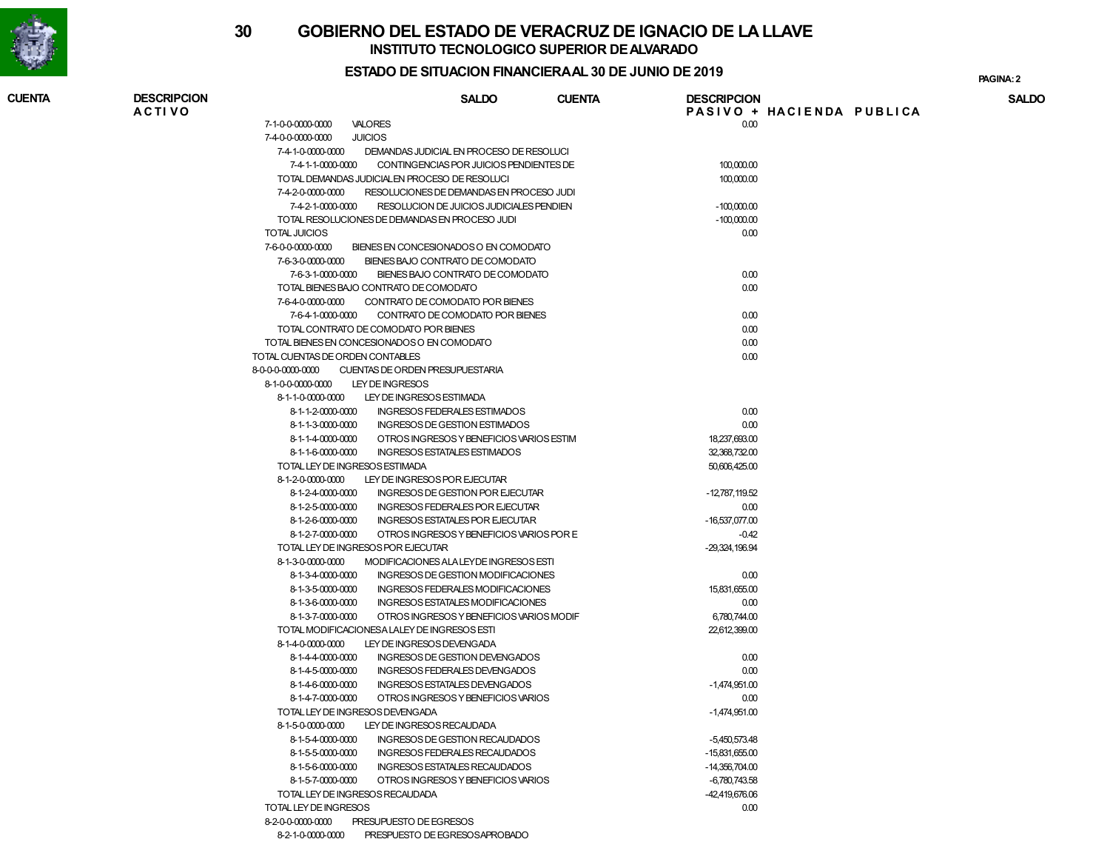

# **30 GOBIERNO DEL ESTADO DE VERACRUZ DE IGNACIO DE LA LLAVEINSTITUTO TECNOLOGICO SUPERIOR DE ALVARADO**

#### **ESTADO DE SITUACION FINANCIERA AL 30 DE JUNIO DE 2019**

**2PAGINA:**

| <b>CUENTA</b> | <b>DESCRIPCION</b><br><b>ACTIVO</b> |                                                         |                                                            | <b>SALDO</b> | <b>CUENTA</b> | <b>DESCRIPCION</b>          | PASIVO + HACIENDA PUBLICA | <b>SALDO</b> |
|---------------|-------------------------------------|---------------------------------------------------------|------------------------------------------------------------|--------------|---------------|-----------------------------|---------------------------|--------------|
|               |                                     | 7-1-0-0-0000-0000                                       | <b>VALORES</b>                                             |              |               | 0.00                        |                           |              |
|               |                                     | <b>JUICIOS</b><br>7-4-0-0-0000-0000                     |                                                            |              |               |                             |                           |              |
|               |                                     | 7-4-1-0-0000-0000                                       | DEMANDAS JUDICIAL EN PROCESO DE RESOLUCI                   |              |               |                             |                           |              |
|               |                                     | 7-4-1-1-0000-0000                                       | CONTINGENCIAS POR JUICIOS PENDIENTES DE                    |              |               | 100,000.00                  |                           |              |
|               |                                     |                                                         | TOTAL DEMANDAS JUDICIALEN PROCESO DE RESOLUCI              |              |               | 100,000.00                  |                           |              |
|               |                                     | 7-4-2-0-0000-0000                                       | RESOLUCIONES DE DEMANDAS EN PROCESO JUDI                   |              |               |                             |                           |              |
|               |                                     |                                                         | 7-4-2-1-0000-0000 RESOLUCION DE JUICIOS JUDICIALES PENDIEN |              |               | $-100,000.00$               |                           |              |
|               |                                     |                                                         | TOTAL RESOLUCIONES DE DEMANDAS EN PROCESO JUDI             |              |               | $-100,000.00$               |                           |              |
|               |                                     | <b>TOTAL JUICIOS</b>                                    |                                                            |              |               | 0.00                        |                           |              |
|               |                                     | 7-6-0-0-0000-0000                                       | BIENES EN CONCESIONADOS O EN COMODATO                      |              |               |                             |                           |              |
|               |                                     | 7-6-3-0-0000-0000                                       | BIENES BAJO CONTRATO DE COMODATO                           |              |               |                             |                           |              |
|               |                                     | 7-6-3-1-0000-0000                                       | BIENES BAJO CONTRATO DE COMODATO                           |              |               | 0.00                        |                           |              |
|               |                                     |                                                         | TOTAL BIENES BAJO CONTRATO DE COMODATO                     |              |               | 0.00                        |                           |              |
|               |                                     | 7-6-4-0-0000-0000                                       | CONTRATO DE COMODATO POR BIENES                            |              |               |                             |                           |              |
|               |                                     | 7-6-4-1-0000-0000                                       | CONTRATO DE COMODATO POR BIENES                            |              |               | 0.00                        |                           |              |
|               |                                     |                                                         | TOTAL CONTRATO DE COMODATO POR BIENES                      |              |               | 0.00                        |                           |              |
|               |                                     | TOTAL BIENES EN CONCESIONADOS O EN COMODATO             |                                                            |              |               | 0.00                        |                           |              |
|               |                                     | TOTAL CUENTAS DE ORDEN CONTABLES                        |                                                            |              |               | 0.00                        |                           |              |
|               |                                     | 8-0-0-0-0000-0000                                       | CUENTAS DE ORDEN PRESUPUESTARIA                            |              |               |                             |                           |              |
|               |                                     | 8-1-0-0-0000-0000                                       | LEY DE INGRESOS                                            |              |               |                             |                           |              |
|               |                                     | 8-1-1-0-0000-0000                                       | LEY DE INGRESOS ESTIMADA                                   |              |               |                             |                           |              |
|               |                                     | 8-1-1-2-0000-0000                                       | <b>INGRESOS FEDERALES ESTIMADOS</b>                        |              |               | 0.00                        |                           |              |
|               |                                     | 8-1-1-3-0000-0000                                       | INGRESOS DE GESTION ESTIMADOS                              |              |               | 0.00                        |                           |              |
|               |                                     | 8-1-1-4-0000-0000                                       | OTROS INGRESOS Y BENEFICIOS VARIOS ESTIM                   |              |               | 18,237,693.00               |                           |              |
|               |                                     | 8-1-1-6-0000-0000                                       | INGRESOS ESTATALES ESTIMADOS                               |              |               | 32,368,732.00               |                           |              |
|               |                                     | TOTAL LEY DE INGRESOS ESTIMADA                          |                                                            |              |               | 50,606,425.00               |                           |              |
|               |                                     | 8-1-2-0-0000-0000                                       | LEY DE INGRESOS POR EJECUTAR                               |              |               |                             |                           |              |
|               |                                     | 8-1-2-4-0000-0000                                       | <b>INGRESOS DE GESTION POR EJECUTAR</b>                    |              |               | -12,787,119.52              |                           |              |
|               |                                     | 8-1-2-5-0000-0000                                       | INGRESOS FEDERALES POR EJECUTAR                            |              |               | 0.00                        |                           |              |
|               |                                     | 8-1-2-6-0000-0000                                       | <b>INGRESOS ESTATALES POR EJECUTAR</b>                     |              |               | $-16,537,077.00$            |                           |              |
|               |                                     | 8-1-2-7-0000-0000<br>TOTAL LEY DE INGRESOS POR EJECUTAR | OTROS INGRESOS Y BENEFICIOS VARIOS POR E                   |              |               | $-0.42$<br>$-29,324,196.94$ |                           |              |
|               |                                     | 8-1-3-0-0000-0000                                       | MODIFICACIONES ALA LEYDE INGRESOS ESTI                     |              |               |                             |                           |              |
|               |                                     | 8-1-3-4-0000-0000                                       | INGRESOS DE GESTION MODIFICACIONES                         |              |               | 0.00                        |                           |              |
|               |                                     | 8-1-3-5-0000-0000                                       | INGRESOS FEDERALES MODIFICACIONES                          |              |               | 15,831,655.00               |                           |              |
|               |                                     | 8-1-3-6-0000-0000                                       | INGRESOS ESTATALES MODIFICACIONES                          |              |               | 0.00                        |                           |              |
|               |                                     | 8-1-3-7-0000-0000                                       | OTROS INGRESOS Y BENEFICIOS VARIOS MODIF                   |              |               | 6,780,744.00                |                           |              |
|               |                                     |                                                         | TOTAL MODIFICACIONES A LALEY DE INGRESOS ESTI              |              |               | 22,612,399.00               |                           |              |
|               |                                     | 8-1-4-0-0000-0000                                       | LEY DE INGRESOS DEVENGADA                                  |              |               |                             |                           |              |
|               |                                     | 8-1-4-4-0000-0000                                       | INGRESOS DE GESTION DEVENGADOS                             |              |               | 0.00                        |                           |              |
|               |                                     | 8-1-4-5-0000-0000                                       | INGRESOS FEDERALES DEVENGADOS                              |              |               | 0.00                        |                           |              |
|               |                                     | 8-1-4-6-0000-0000                                       | INGRESOS ESTATALES DEVENGADOS                              |              |               | $-1,474,951.00$             |                           |              |
|               |                                     | 8-1-4-7-0000-0000                                       | OTROS INGRESOS Y BENEFICIOS VARIOS                         |              |               | 0.00                        |                           |              |
|               |                                     | TOTAL LEY DE INGRESOS DEVENGADA                         |                                                            |              |               | $-1,474,951.00$             |                           |              |
|               |                                     | 8-1-5-0-0000-0000                                       | LEY DE INGRESOS RECAUDADA                                  |              |               |                             |                           |              |
|               |                                     | 8-1-5-4-0000-0000                                       | INGRESOS DE GESTION RECAUDADOS                             |              |               | $-5,450,573.48$             |                           |              |
|               |                                     | 8-1-5-5-0000-0000                                       | INGRESOS FEDERALES RECAUDADOS                              |              |               | $-15,831,655.00$            |                           |              |
|               |                                     | 8-1-5-6-0000-0000                                       | <b>INGRESOS ESTATALES RECAUDADOS</b>                       |              |               | $-14,356,704.00$            |                           |              |
|               |                                     | 8-1-5-7-0000-0000                                       | OTROS INGRESOS Y BENEFICIOS VARIOS                         |              |               | $-6,780,743.58$             |                           |              |
|               |                                     | TOTAL LEY DE INGRESOS RECAUDADA                         |                                                            |              |               | -42,419,676.06              |                           |              |
|               |                                     | TOTAL LEY DE INGRESOS                                   |                                                            |              |               | 0.00                        |                           |              |
|               |                                     | 8-2-0-0-0000-0000                                       | PRESUPUESTO DE EGRESOS                                     |              |               |                             |                           |              |
|               |                                     |                                                         | 8-2-1-0-0000-0000 PRESPUESTO DE EGRESOSAPROBADO            |              |               |                             |                           |              |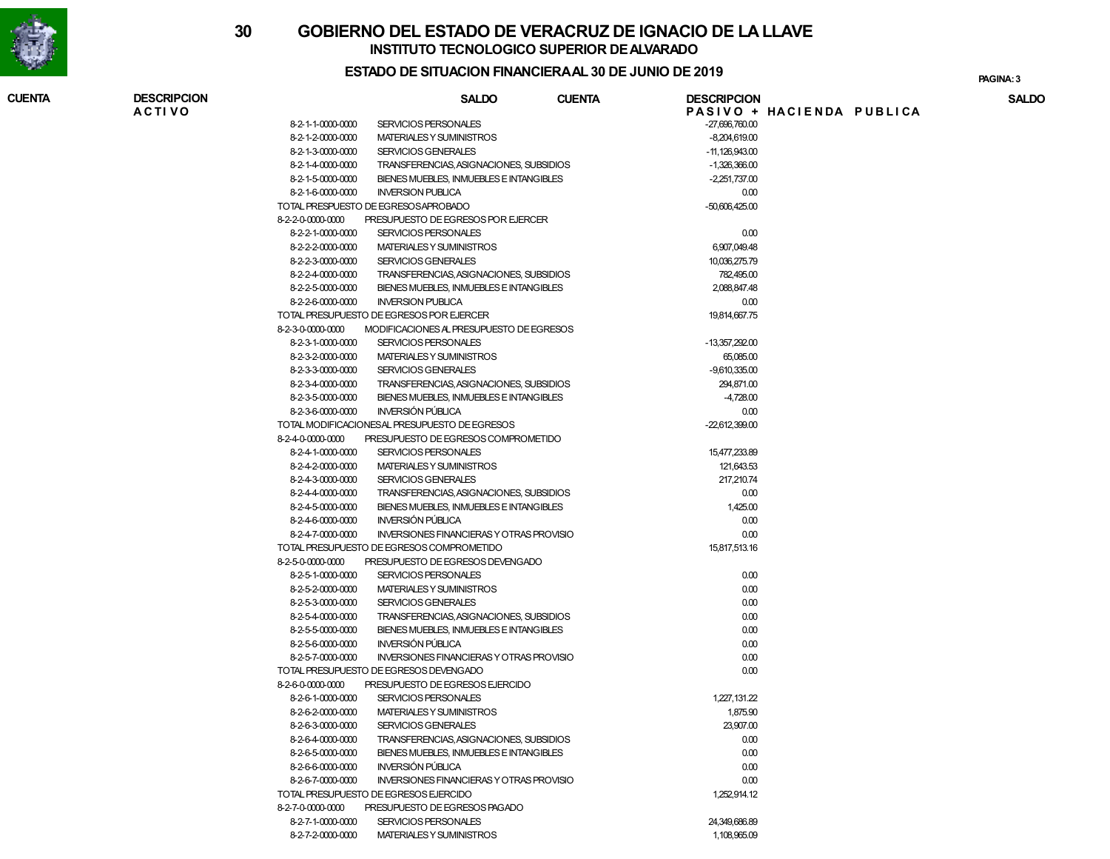

**CUENTA**

## **30 GOBIERNO DEL ESTADO DE VERACRUZ DE IGNACIO DE LA LLAVEINSTITUTO TECNOLOGICO SUPERIOR DE ALVARADO**

#### **ESTADO DE SITUACION FINANCIERA AL 30 DE JUNIO DE 2019**

**A C T I V O P A S I V O + H A C I E N D A P U B L I C A SALDO DESCRIPCION CUENTA DESCRIPCION SALDO** 8-2-1-1-0000-0000 SERVICIOS PERSONALES -27,696,760.00 8-2-1-2-0000-0000 MATERIALES Y SUMINISTROS -8,204,619.00 8-2-1-3-0000-0000 SERVICIOS GENERALES -11,126,943.00 8-2-1-4-0000-0000 TRANSFERENCIAS, ASIGNACIONES, SUBSIDIOS -1,326,366.00 8-2-1-5-0000-0000 BIENES MUEBLES, INMUEBLES E INTANGIBLES -2,251,737.00 8-2-1-6-0000-0000 INVERSION PUBLICA $AA$  0.00 TOTAL PRESPUESTO DE EGRESOS APROBADO -50,606,425.00 8-2-2-0-0000-0000 PRESUPUESTO DE EGRESOS POR EJERCER 8-2-2-1-0000-0000 SERVICIOS PERSONALES $\sim$  0.00 8-2-2-2-0000-0000 MATERIALES Y SUMINISTROSS 6,907,049.48 8-2-2-3-0000-0000 SERVICIOS GENERALESS 10,036,275.79 8-2-2-4-0000-0000 TRANSFERENCIAS, ASIGNACIONES, SUBSIDIOS 782,495.00 8-2-2-5-0000-0000 BIENES MUEBLES, INMUEBLES E INTANGIBLES 2,088,847.48 8-2-2-6-0000-0000 INVERSION P'UBLICA $\mathsf{A}$  0.00 TOTAL PRESUPUESTO DE EGRESOS POR EJERCERR 19,814,667.75 8-2-3-0-0000-0000 MODIFICACIONES AL PRESUPUESTO DE EGRESOS 8-2-3-1-0000-0000 SERVICIOS PERSONALES -13,357,292.00 8-2-3-2-0000-0000 MATERIALES Y SUMINISTROSS 65,085.00 8-2-3-3-0000-0000 SERVICIOS GENERALES -9,610,335.00 8-2-3-4-0000-0000 TRANSFERENCIAS, ASIGNACIONES, SUBSIDIOS294,871.00<br>-4,728.00 8-2-3-5-0000-0000 BIENES MUEBLES, INMUEBLES E INTANGIBLES -4,728.00 8-2-3-6-0000-0000 INVERSIÓN PÚBLICA $AA$  0.00 TOTAL MODIFICACIONES AL PRESUPUESTO DE EGRESOS -22,612,399.00 8-2-4-0-0000-0000 PRESUPUESTO DE EGRESOS COMPROMETIDO 8-2-4-1-0000-0000 SERVICIOS PERSONALESS 15,477,233.89 8-2-4-2-0000-0000 MATERIALES Y SUMINISTROSS 121,643.53 8-2-4-3-0000-0000 SERVICIOS GENERALES $217,210.74$  8-2-4-4-0000-0000 TRANSFERENCIAS, ASIGNACIONES, SUBSIDIOS $\sim$  0.00 8-2-4-5-0000-0000 BIENES MUEBLES, INMUEBLES E INTANGIBLES $1,425.00$  8-2-4-6-0000-0000 INVERSIÓN PÚBLICA $AA$  0.00 8-2-4-7-0000-0000 INVERSIONES FINANCIERAS Y OTRAS PROVISIO0.00 TOTAL PRESUPUESTO DE EGRESOS COMPROMETIDOO 15,817,513.16 8-2-5-0-0000-0000 PRESUPUESTO DE EGRESOS DEVENGADO 8-2-5-1-0000-0000 SERVICIOS PERSONALES $\sim$  0.00 8-2-5-2-0000-0000 MATERIALES Y SUMINISTROS $\sim$  0.00 8-2-5-3-0000-0000 SERVICIOS GENERALES $\sim$  0.00 8-2-5-4-0000-0000 TRANSFERENCIAS, ASIGNACIONES, SUBSIDIOS $\sim$  0.00 8-2-5-5-0000-0000 BIENES MUEBLES, INMUEBLES E INTANGIBLES $\sim$  0.00 8-2-5-6-0000-0000 INVERSIÓN PÚBLICA $AA$  0.00 8-2-5-7-0000-0000 INVERSIONES FINANCIERAS Y OTRAS PROVISIO0.00 TOTAL PRESUPUESTO DE EGRESOS DEVENGADO0.00 8-2-6-0-0000-0000 PRESUPUESTO DE EGRESOS EJERCIDO 8-2-6-1-0000-0000 SERVICIOS PERSONALES 1,227,131.22 8-2-6-2-0000-0000 MATERIALES Y SUMINISTROSS 1,875.90 8-2-6-3-0000-0000 SERVICIOS GENERALESS 23,907.00 8-2-6-4-0000-0000 TRANSFERENCIAS, ASIGNACIONES, SUBSIDIOS $\sim$  0.00 8-2-6-5-0000-0000 BIENES MUEBLES, INMUEBLES E INTANGIBLES $\sim$  0.00 8-2-6-6-0000-0000 INVERSIÓN PÚBLICA $AA$  0.00 8-2-6-7-0000-0000 INVERSIONES FINANCIERAS Y OTRAS PROVISIO0.00 TOTAL PRESUPUESTO DE EGRESOS EJERCIDOO 1,252,914.12 8-2-7-0-0000-0000 PRESUPUESTO DE EGRESOS PAGADO

24,349,686.89

S 1,108,965.09

8-2-7-1-0000-0000 SERVICIOS PERSONALES

8-2-7-2-0000-0000 MATERIALES Y SUMINISTROS

**3PAGINA:**